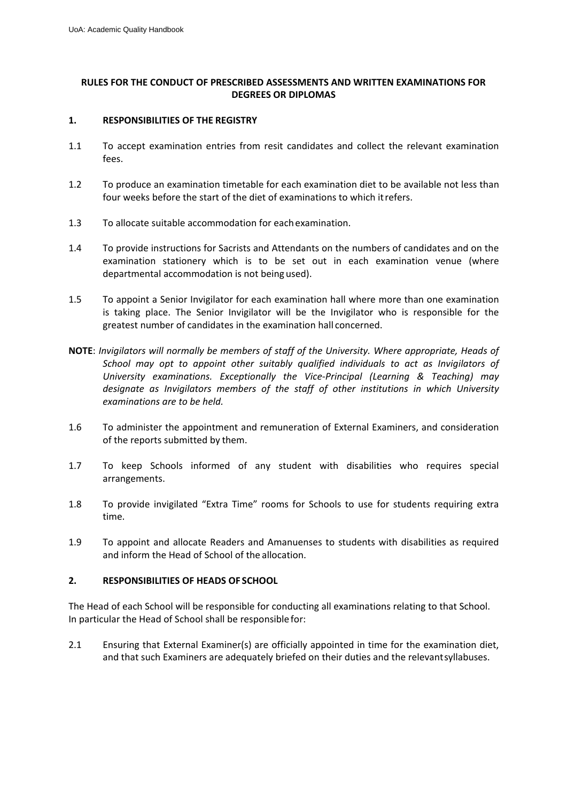# **RULES FOR THE CONDUCT OF PRESCRIBED ASSESSMENTS AND WRITTEN EXAMINATIONS FOR DEGREES OR DIPLOMAS**

#### **1. RESPONSIBILITIES OF THE REGISTRY**

- 1.1 To accept examination entries from resit candidates and collect the relevant examination fees.
- 1.2 To produce an examination timetable for each examination diet to be available not less than four weeks before the start of the diet of examinations to which itrefers.
- 1.3 To allocate suitable accommodation for eachexamination.
- 1.4 To provide instructions for Sacrists and Attendants on the numbers of candidates and on the examination stationery which is to be set out in each examination venue (where departmental accommodation is not being used).
- 1.5 To appoint a Senior Invigilator for each examination hall where more than one examination is taking place. The Senior Invigilator will be the Invigilator who is responsible for the greatest number of candidates in the examination hall concerned.
- **NOTE**: *Invigilators will normally be members of staff of the University. Where appropriate, Heads of School may opt to appoint other suitably qualified individuals to act as Invigilators of University examinations. Exceptionally the Vice-Principal (Learning & Teaching) may designate as Invigilators members of the staff of other institutions in which University examinations are to be held.*
- 1.6 To administer the appointment and remuneration of External Examiners, and consideration of the reports submitted by them.
- 1.7 To keep Schools informed of any student with disabilities who requires special arrangements.
- 1.8 To provide invigilated "Extra Time" rooms for Schools to use for students requiring extra time.
- 1.9 To appoint and allocate Readers and Amanuenses to students with disabilities as required and inform the Head of School of the allocation.

### **2. RESPONSIBILITIES OF HEADS OF SCHOOL**

The Head of each School will be responsible for conducting all examinations relating to that School. In particular the Head of School shall be responsible for:

2.1 Ensuring that External Examiner(s) are officially appointed in time for the examination diet, and that such Examiners are adequately briefed on their duties and the relevantsyllabuses.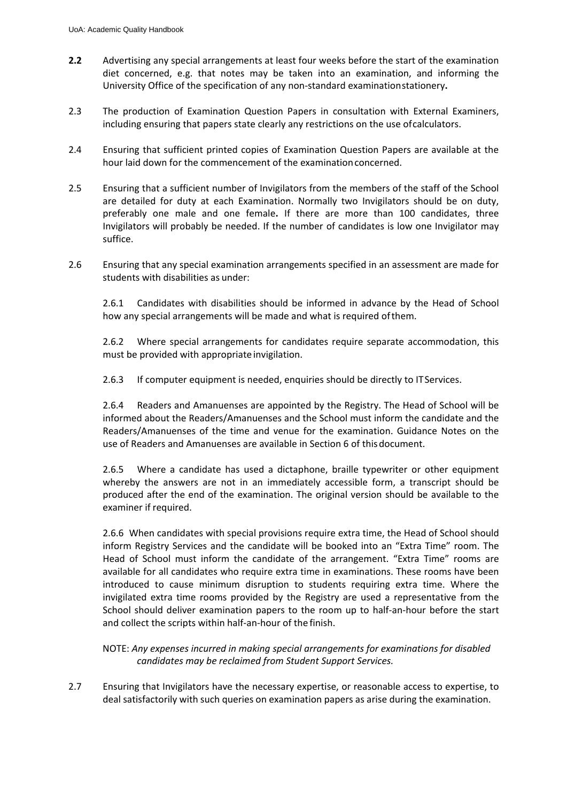- **2.2** Advertising any special arrangements at least four weeks before the start of the examination diet concerned, e.g. that notes may be taken into an examination, and informing the University Office of the specification of any non-standard examinationstationery**.**
- 2.3 The production of Examination Question Papers in consultation with External Examiners, including ensuring that papers state clearly any restrictions on the use ofcalculators.
- 2.4 Ensuring that sufficient printed copies of Examination Question Papers are available at the hour laid down for the commencement of the examinationconcerned.
- 2.5 Ensuring that a sufficient number of Invigilators from the members of the staff of the School are detailed for duty at each Examination. Normally two Invigilators should be on duty, preferably one male and one female**.** If there are more than 100 candidates, three Invigilators will probably be needed. If the number of candidates is low one Invigilator may suffice.
- 2.6 Ensuring that any special examination arrangements specified in an assessment are made for students with disabilities as under:

2.6.1 Candidates with disabilities should be informed in advance by the Head of School how any special arrangements will be made and what is required ofthem.

2.6.2 Where special arrangements for candidates require separate accommodation, this must be provided with appropriate invigilation.

2.6.3 If computer equipment is needed, enquiries should be directly to ITServices.

2.6.4 Readers and Amanuenses are appointed by the Registry. The Head of School will be informed about the Readers/Amanuenses and the School must inform the candidate and the Readers/Amanuenses of the time and venue for the examination. Guidance Notes on the use of Readers and Amanuenses are available in Section 6 of thisdocument.

2.6.5 Where a candidate has used a dictaphone, braille typewriter or other equipment whereby the answers are not in an immediately accessible form, a transcript should be produced after the end of the examination. The original version should be available to the examiner if required.

2.6.6 When candidates with special provisions require extra time, the Head of School should inform Registry Services and the candidate will be booked into an "Extra Time" room. The Head of School must inform the candidate of the arrangement. "Extra Time" rooms are available for all candidates who require extra time in examinations. These rooms have been introduced to cause minimum disruption to students requiring extra time. Where the invigilated extra time rooms provided by the Registry are used a representative from the School should deliver examination papers to the room up to half-an-hour before the start and collect the scripts within half-an-hour of the finish.

NOTE: *Any expenses incurred in making special arrangements for examinations for disabled candidates may be reclaimed from Student Support Services.*

2.7 Ensuring that Invigilators have the necessary expertise, or reasonable access to expertise, to deal satisfactorily with such queries on examination papers as arise during the examination.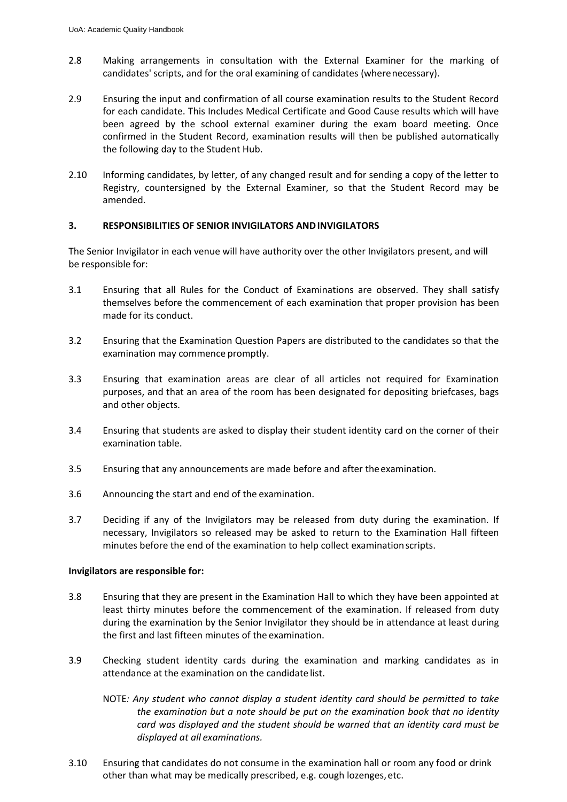- 2.8 Making arrangements in consultation with the External Examiner for the marking of candidates' scripts, and for the oral examining of candidates (wherenecessary).
- 2.9 Ensuring the input and confirmation of all course examination results to the Student Record for each candidate. This Includes Medical Certificate and Good Cause results which will have been agreed by the school external examiner during the exam board meeting. Once confirmed in the Student Record, examination results will then be published automatically the following day to the Student Hub.
- 2.10 Informing candidates, by letter, of any changed result and for sending a copy of the letter to Registry, countersigned by the External Examiner, so that the Student Record may be amended.

### **3. RESPONSIBILITIES OF SENIOR INVIGILATORS ANDINVIGILATORS**

The Senior Invigilator in each venue will have authority over the other Invigilators present, and will be responsible for:

- 3.1 Ensuring that all Rules for the Conduct of Examinations are observed. They shall satisfy themselves before the commencement of each examination that proper provision has been made for its conduct.
- 3.2 Ensuring that the Examination Question Papers are distributed to the candidates so that the examination may commence promptly.
- 3.3 Ensuring that examination areas are clear of all articles not required for Examination purposes, and that an area of the room has been designated for depositing briefcases, bags and other objects.
- 3.4 Ensuring that students are asked to display their student identity card on the corner of their examination table.
- 3.5 Ensuring that any announcements are made before and after theexamination.
- 3.6 Announcing the start and end of the examination.
- 3.7 Deciding if any of the Invigilators may be released from duty during the examination. If necessary, Invigilators so released may be asked to return to the Examination Hall fifteen minutes before the end of the examination to help collect examinationscripts.

### **Invigilators are responsible for:**

- 3.8 Ensuring that they are present in the Examination Hall to which they have been appointed at least thirty minutes before the commencement of the examination. If released from duty during the examination by the Senior Invigilator they should be in attendance at least during the first and last fifteen minutes of the examination.
- 3.9 Checking student identity cards during the examination and marking candidates as in attendance at the examination on the candidate list.
	- NOTE*: Any student who cannot display a student identity card should be permitted to take the examination but a note should be put on the examination book that no identity card was displayed and the student should be warned that an identity card must be displayed at all examinations.*
- 3.10 Ensuring that candidates do not consume in the examination hall or room any food or drink other than what may be medically prescribed, e.g. cough lozenges,etc.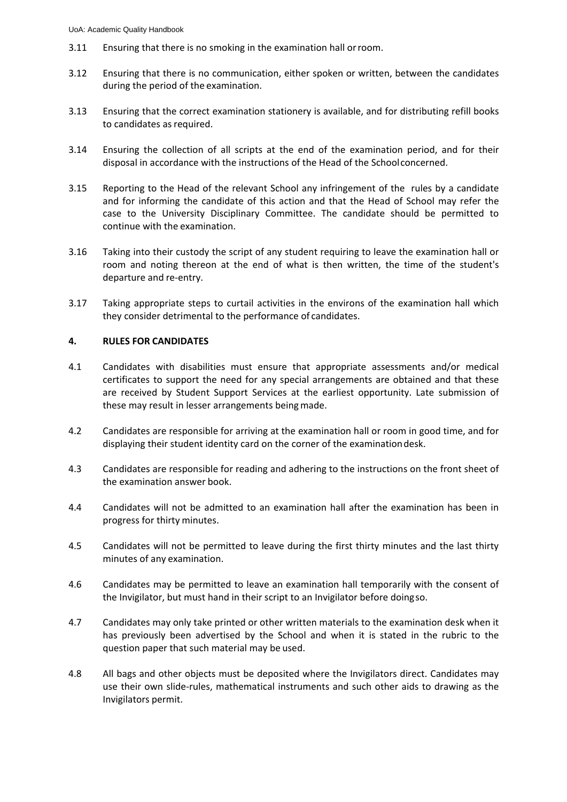- 3.11 Ensuring that there is no smoking in the examination hall orroom.
- 3.12 Ensuring that there is no communication, either spoken or written, between the candidates during the period of the examination.
- 3.13 Ensuring that the correct examination stationery is available, and for distributing refill books to candidates as required.
- 3.14 Ensuring the collection of all scripts at the end of the examination period, and for their disposal in accordance with the instructions of the Head of the Schoolconcerned.
- 3.15 Reporting to the Head of the relevant School any infringement of the rules by a candidate and for informing the candidate of this action and that the Head of School may refer the case to the University Disciplinary Committee. The candidate should be permitted to continue with the examination.
- 3.16 Taking into their custody the script of any student requiring to leave the examination hall or room and noting thereon at the end of what is then written, the time of the student's departure and re-entry.
- 3.17 Taking appropriate steps to curtail activities in the environs of the examination hall which they consider detrimental to the performance of candidates.

#### **4. RULES FOR CANDIDATES**

- 4.1 Candidates with disabilities must ensure that appropriate assessments and/or medical certificates to support the need for any special arrangements are obtained and that these are received by Student Support Services at the earliest opportunity. Late submission of these may result in lesser arrangements being made.
- 4.2 Candidates are responsible for arriving at the examination hall or room in good time, and for displaying their student identity card on the corner of the examinationdesk.
- 4.3 Candidates are responsible for reading and adhering to the instructions on the front sheet of the examination answer book.
- 4.4 Candidates will not be admitted to an examination hall after the examination has been in progress for thirty minutes.
- 4.5 Candidates will not be permitted to leave during the first thirty minutes and the last thirty minutes of any examination.
- 4.6 Candidates may be permitted to leave an examination hall temporarily with the consent of the Invigilator, but must hand in their script to an Invigilator before doingso.
- 4.7 Candidates may only take printed or other written materials to the examination desk when it has previously been advertised by the School and when it is stated in the rubric to the question paper that such material may be used.
- 4.8 All bags and other objects must be deposited where the Invigilators direct. Candidates may use their own slide-rules, mathematical instruments and such other aids to drawing as the Invigilators permit.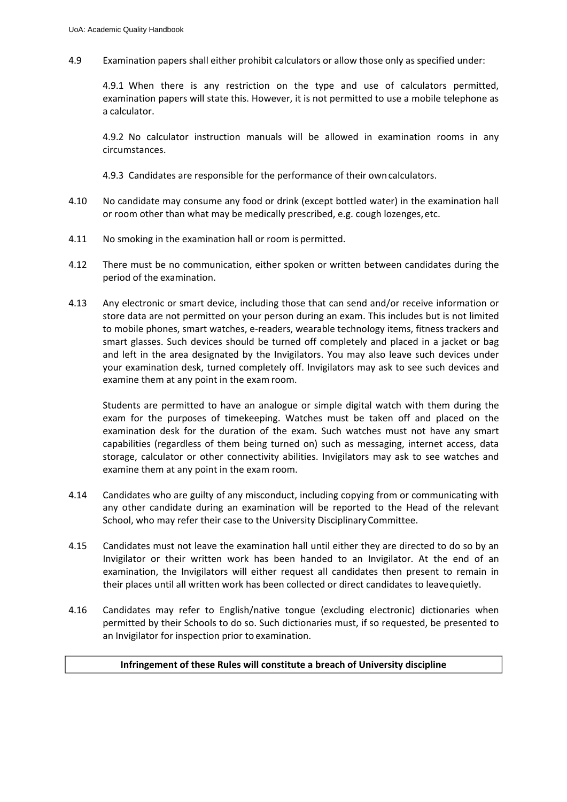4.9 Examination papers shall either prohibit calculators or allow those only as specified under:

4.9.1 When there is any restriction on the type and use of calculators permitted, examination papers will state this. However, it is not permitted to use a mobile telephone as a calculator.

4.9.2 No calculator instruction manuals will be allowed in examination rooms in any circumstances.

4.9.3 Candidates are responsible for the performance of their owncalculators.

- 4.10 No candidate may consume any food or drink (except bottled water) in the examination hall or room other than what may be medically prescribed, e.g. cough lozenges,etc.
- 4.11 No smoking in the examination hall or room is permitted.
- 4.12 There must be no communication, either spoken or written between candidates during the period of the examination.
- 4.13 Any electronic or smart device, including those that can send and/or receive information or store data are not permitted on your person during an exam. This includes but is not limited to mobile phones, smart watches, e-readers, wearable technology items, fitness trackers and smart glasses. Such devices should be turned off completely and placed in a jacket or bag and left in the area designated by the Invigilators. You may also leave such devices under your examination desk, turned completely off. Invigilators may ask to see such devices and examine them at any point in the exam room.

Students are permitted to have an analogue or simple digital watch with them during the exam for the purposes of timekeeping. Watches must be taken off and placed on the examination desk for the duration of the exam. Such watches must not have any smart capabilities (regardless of them being turned on) such as messaging, internet access, data storage, calculator or other connectivity abilities. Invigilators may ask to see watches and examine them at any point in the exam room.

- 4.14 Candidates who are guilty of any misconduct, including copying from or communicating with any other candidate during an examination will be reported to the Head of the relevant School, who may refer their case to the University DisciplinaryCommittee.
- 4.15 Candidates must not leave the examination hall until either they are directed to do so by an Invigilator or their written work has been handed to an Invigilator. At the end of an examination, the Invigilators will either request all candidates then present to remain in their places until all written work has been collected or direct candidates to leavequietly.
- 4.16 Candidates may refer to English/native tongue (excluding electronic) dictionaries when permitted by their Schools to do so. Such dictionaries must, if so requested, be presented to an Invigilator for inspection prior to examination.

### **Infringement of these Rules will constitute a breach of University discipline**